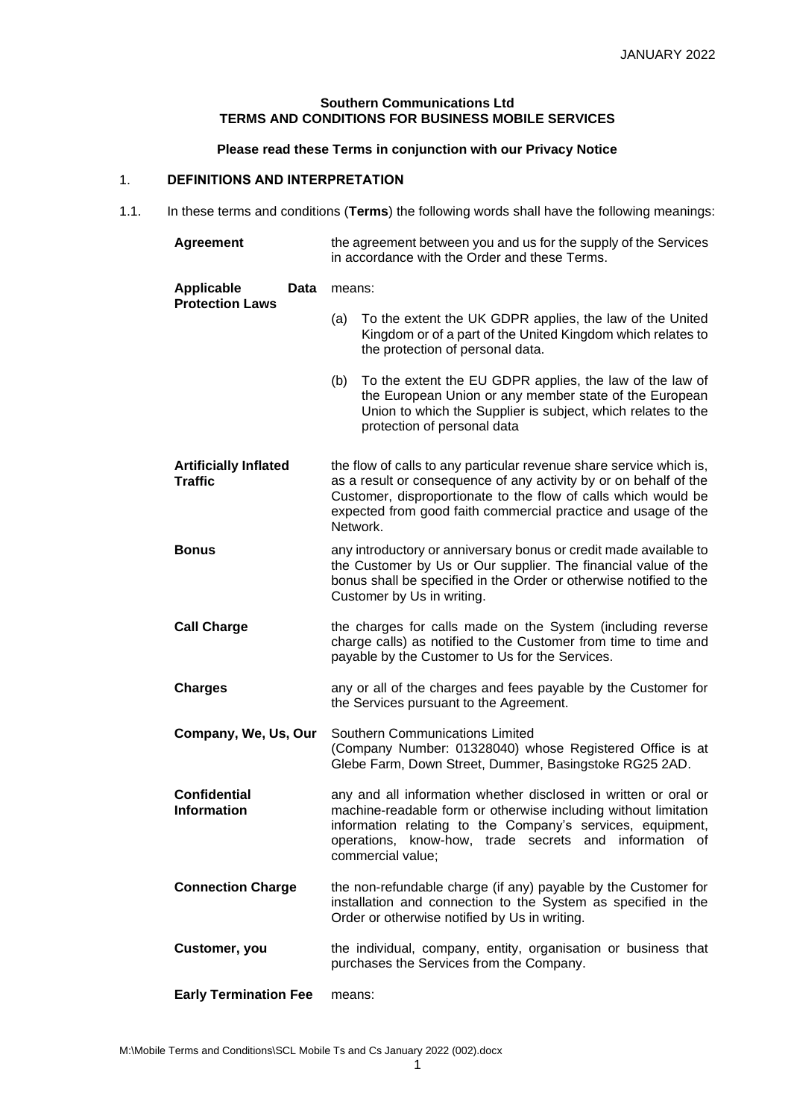# **Southern Communications Ltd TERMS AND CONDITIONS FOR BUSINESS MOBILE SERVICES**

# **Please read these Terms in conjunction with our Privacy Notice**

## 1. **DEFINITIONS AND INTERPRETATION**

1.1. In these terms and conditions (**Terms**) the following words shall have the following meanings:

| <b>Agreement</b>                                    | the agreement between you and us for the supply of the Services<br>in accordance with the Order and these Terms.                                                                                                                                                                        |
|-----------------------------------------------------|-----------------------------------------------------------------------------------------------------------------------------------------------------------------------------------------------------------------------------------------------------------------------------------------|
| <b>Applicable</b><br>Data<br><b>Protection Laws</b> | means:                                                                                                                                                                                                                                                                                  |
|                                                     | To the extent the UK GDPR applies, the law of the United<br>(a)<br>Kingdom or of a part of the United Kingdom which relates to<br>the protection of personal data.                                                                                                                      |
|                                                     | To the extent the EU GDPR applies, the law of the law of<br>(b)<br>the European Union or any member state of the European<br>Union to which the Supplier is subject, which relates to the<br>protection of personal data                                                                |
| <b>Artificially Inflated</b><br><b>Traffic</b>      | the flow of calls to any particular revenue share service which is,<br>as a result or consequence of any activity by or on behalf of the<br>Customer, disproportionate to the flow of calls which would be<br>expected from good faith commercial practice and usage of the<br>Network. |
| <b>Bonus</b>                                        | any introductory or anniversary bonus or credit made available to<br>the Customer by Us or Our supplier. The financial value of the<br>bonus shall be specified in the Order or otherwise notified to the<br>Customer by Us in writing.                                                 |
| <b>Call Charge</b>                                  | the charges for calls made on the System (including reverse<br>charge calls) as notified to the Customer from time to time and<br>payable by the Customer to Us for the Services.                                                                                                       |
| <b>Charges</b>                                      | any or all of the charges and fees payable by the Customer for<br>the Services pursuant to the Agreement.                                                                                                                                                                               |
| Company, We, Us, Our                                | Southern Communications Limited<br>(Company Number: 01328040) whose Registered Office is at<br>Glebe Farm, Down Street, Dummer, Basingstoke RG25 2AD.                                                                                                                                   |
| <b>Confidential</b><br><b>Information</b>           | any and all information whether disclosed in written or oral or<br>machine-readable form or otherwise including without limitation<br>information relating to the Company's services, equipment,<br>operations, know-how, trade secrets and<br>information of<br>commercial value;      |
| <b>Connection Charge</b>                            | the non-refundable charge (if any) payable by the Customer for<br>installation and connection to the System as specified in the<br>Order or otherwise notified by Us in writing.                                                                                                        |
| Customer, you                                       | the individual, company, entity, organisation or business that<br>purchases the Services from the Company.                                                                                                                                                                              |
| <b>Early Termination Fee</b>                        | means:                                                                                                                                                                                                                                                                                  |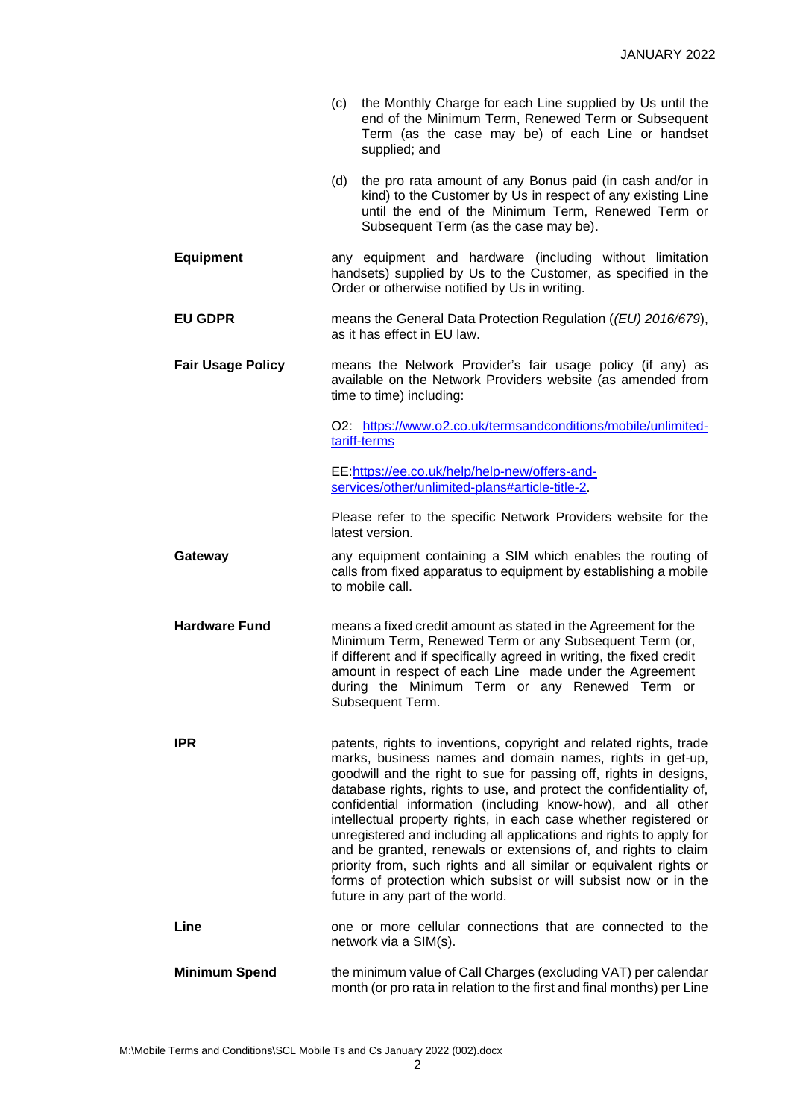- (c) the Monthly Charge for each Line supplied by Us until the end of the Minimum Term, Renewed Term or Subsequent Term (as the case may be) of each Line or handset supplied; and
- (d) the pro rata amount of any Bonus paid (in cash and/or in kind) to the Customer by Us in respect of any existing Line until the end of the Minimum Term, Renewed Term or Subsequent Term (as the case may be).
- **Equipment** any equipment and hardware (including without limitation handsets) supplied by Us to the Customer, as specified in the Order or otherwise notified by Us in writing.
- **EU GDPR** means the General Data Protection Regulation (*(EU) 2016/679*), as it has effect in EU law.
- **Fair Usage Policy** means the Network Provider's fair usage policy (if any) as available on the Network Providers website (as amended from time to time) including:

O2: [https://www.o2.co.uk/termsandconditions/mobile/unlimited](https://www.o2.co.uk/termsandconditions/mobile/unlimited-tariff-terms)[tariff-terms](https://www.o2.co.uk/termsandconditions/mobile/unlimited-tariff-terms)

EE[:https://ee.co.uk/help/help-new/offers-and](https://ee.co.uk/help/help-new/offers-and-services/other/unlimited-plans#article-title-2)[services/other/unlimited-plans#article-title-2.](https://ee.co.uk/help/help-new/offers-and-services/other/unlimited-plans#article-title-2)

Please refer to the specific Network Providers website for the latest version.

- **Gateway any equipment containing a SIM which enables the routing of** calls from fixed apparatus to equipment by establishing a mobile to mobile call.
- **Hardware Fund** means a fixed credit amount as stated in the Agreement for the Minimum Term, Renewed Term or any Subsequent Term (or, if different and if specifically agreed in writing, the fixed credit amount in respect of each Line made under the Agreement during the Minimum Term or any Renewed Term or Subsequent Term.
	- **IPR** patents, rights to inventions, copyright and related rights, trade marks, business names and domain names, rights in get-up, goodwill and the right to sue for passing off, rights in designs, database rights, rights to use, and protect the confidentiality of, confidential information (including know-how), and all other intellectual property rights, in each case whether registered or unregistered and including all applications and rights to apply for and be granted, renewals or extensions of, and rights to claim priority from, such rights and all similar or equivalent rights or forms of protection which subsist or will subsist now or in the future in any part of the world.
- **Line Example 3 C** one or more cellular connections that are connected to the network via a SIM(s).
- **Minimum Spend** the minimum value of Call Charges (excluding VAT) per calendar month (or pro rata in relation to the first and final months) per Line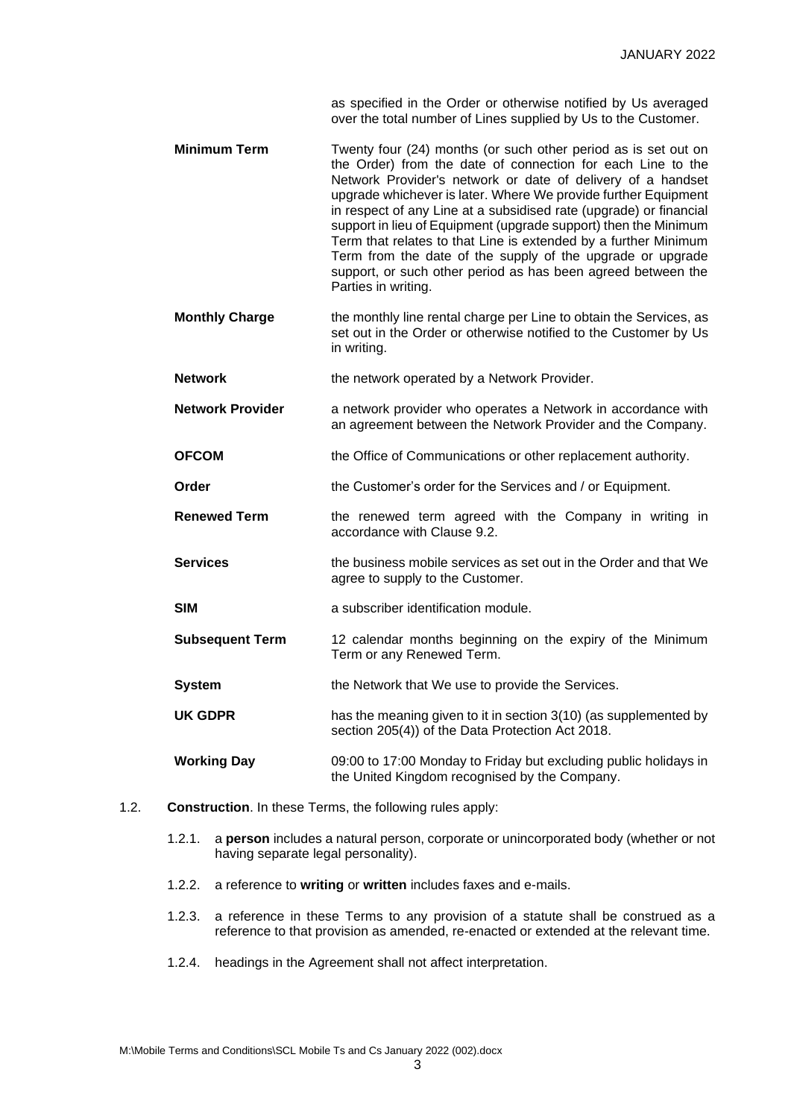as specified in the Order or otherwise notified by Us averaged over the total number of Lines supplied by Us to the Customer.

- **Minimum Term** Twenty four (24) months (or such other period as is set out on the Order) from the date of connection for each Line to the Network Provider's network or date of delivery of a handset upgrade whichever is later. Where We provide further Equipment in respect of any Line at a subsidised rate (upgrade) or financial support in lieu of Equipment (upgrade support) then the Minimum Term that relates to that Line is extended by a further Minimum Term from the date of the supply of the upgrade or upgrade support, or such other period as has been agreed between the Parties in writing.
- **Monthly Charge** the monthly line rental charge per Line to obtain the Services, as set out in the Order or otherwise notified to the Customer by Us in writing.
- **Network** the network operated by a Network Provider.
- **Network Provider** a network provider who operates a Network in accordance with an agreement between the Network Provider and the Company.
- **OFCOM** the Office of Communications or other replacement authority.
- **Order** the Customer's order for the Services and / or Equipment.
- **Renewed Term** the renewed term agreed with the Company in writing in accordance with Clause 9.2.
- **Services** the business mobile services as set out in the Order and that We agree to supply to the Customer.
- **SIM a** subscriber identification module.
- **Subsequent Term** 12 calendar months beginning on the expiry of the Minimum Term or any Renewed Term.
- **System** the Network that We use to provide the Services.
- **UK GDPR** has the meaning given to it in section 3(10) (as supplemented by section 205(4)) of the Data Protection Act 2018.

**Working Day** 09:00 to 17:00 Monday to Friday but excluding public holidays in the United Kingdom recognised by the Company.

- 1.2. **Construction**. In these Terms, the following rules apply:
	- 1.2.1. a **person** includes a natural person, corporate or unincorporated body (whether or not having separate legal personality).
	- 1.2.2. a reference to **writing** or **written** includes faxes and e-mails.
	- 1.2.3. a reference in these Terms to any provision of a statute shall be construed as a reference to that provision as amended, re-enacted or extended at the relevant time.
	- 1.2.4. headings in the Agreement shall not affect interpretation.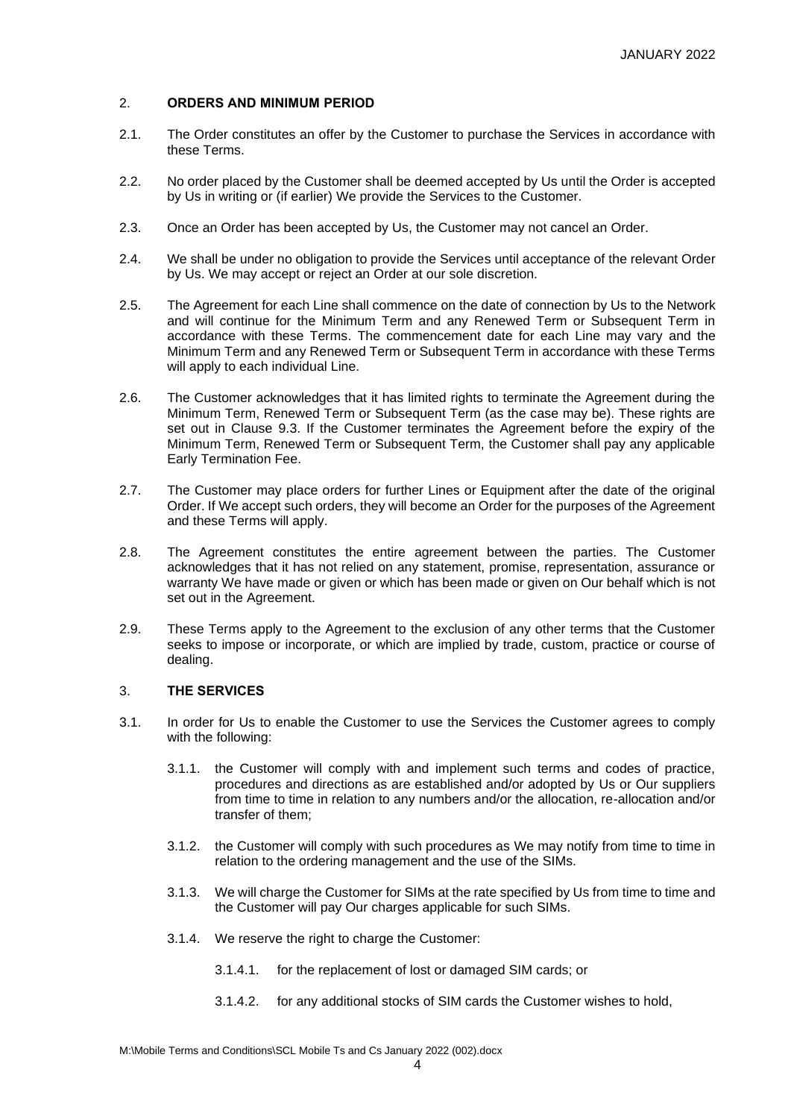## 2. **ORDERS AND MINIMUM PERIOD**

- 2.1. The Order constitutes an offer by the Customer to purchase the Services in accordance with these Terms.
- 2.2. No order placed by the Customer shall be deemed accepted by Us until the Order is accepted by Us in writing or (if earlier) We provide the Services to the Customer.
- 2.3. Once an Order has been accepted by Us, the Customer may not cancel an Order.
- 2.4. We shall be under no obligation to provide the Services until acceptance of the relevant Order by Us. We may accept or reject an Order at our sole discretion.
- 2.5. The Agreement for each Line shall commence on the date of connection by Us to the Network and will continue for the Minimum Term and any Renewed Term or Subsequent Term in accordance with these Terms. The commencement date for each Line may vary and the Minimum Term and any Renewed Term or Subsequent Term in accordance with these Terms will apply to each individual Line.
- 2.6. The Customer acknowledges that it has limited rights to terminate the Agreement during the Minimum Term, Renewed Term or Subsequent Term (as the case may be). These rights are set out in Clause 9.3. If the Customer terminates the Agreement before the expiry of the Minimum Term, Renewed Term or Subsequent Term, the Customer shall pay any applicable Early Termination Fee.
- 2.7. The Customer may place orders for further Lines or Equipment after the date of the original Order. If We accept such orders, they will become an Order for the purposes of the Agreement and these Terms will apply.
- 2.8. The Agreement constitutes the entire agreement between the parties. The Customer acknowledges that it has not relied on any statement, promise, representation, assurance or warranty We have made or given or which has been made or given on Our behalf which is not set out in the Agreement.
- 2.9. These Terms apply to the Agreement to the exclusion of any other terms that the Customer seeks to impose or incorporate, or which are implied by trade, custom, practice or course of dealing.

## 3. **THE SERVICES**

- 3.1. In order for Us to enable the Customer to use the Services the Customer agrees to comply with the following:
	- 3.1.1. the Customer will comply with and implement such terms and codes of practice, procedures and directions as are established and/or adopted by Us or Our suppliers from time to time in relation to any numbers and/or the allocation, re-allocation and/or transfer of them;
	- 3.1.2. the Customer will comply with such procedures as We may notify from time to time in relation to the ordering management and the use of the SIMs.
	- 3.1.3. We will charge the Customer for SIMs at the rate specified by Us from time to time and the Customer will pay Our charges applicable for such SIMs.
	- 3.1.4. We reserve the right to charge the Customer:
		- 3.1.4.1. for the replacement of lost or damaged SIM cards; or
		- 3.1.4.2. for any additional stocks of SIM cards the Customer wishes to hold,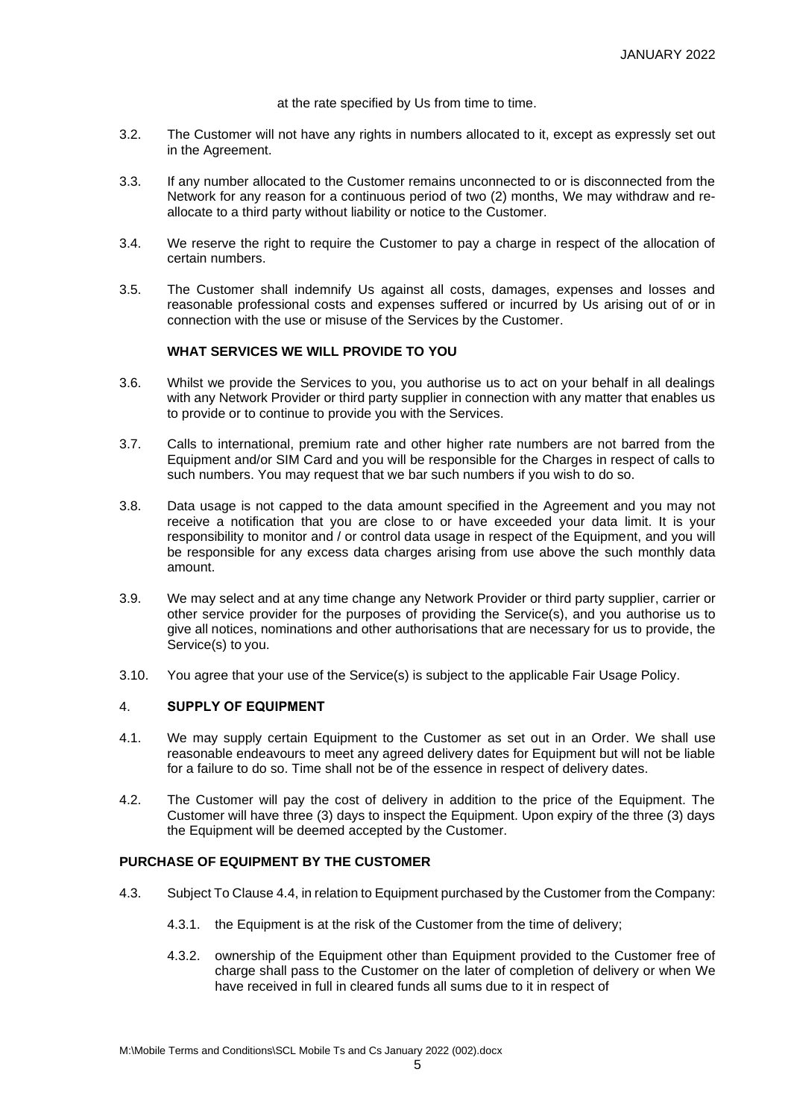at the rate specified by Us from time to time.

- 3.2. The Customer will not have any rights in numbers allocated to it, except as expressly set out in the Agreement.
- 3.3. If any number allocated to the Customer remains unconnected to or is disconnected from the Network for any reason for a continuous period of two (2) months, We may withdraw and reallocate to a third party without liability or notice to the Customer.
- 3.4. We reserve the right to require the Customer to pay a charge in respect of the allocation of certain numbers.
- 3.5. The Customer shall indemnify Us against all costs, damages, expenses and losses and reasonable professional costs and expenses suffered or incurred by Us arising out of or in connection with the use or misuse of the Services by the Customer.

#### **WHAT SERVICES WE WILL PROVIDE TO YOU**

- 3.6. Whilst we provide the Services to you, you authorise us to act on your behalf in all dealings with any Network Provider or third party supplier in connection with any matter that enables us to provide or to continue to provide you with the Services.
- 3.7. Calls to international, premium rate and other higher rate numbers are not barred from the Equipment and/or SIM Card and you will be responsible for the Charges in respect of calls to such numbers. You may request that we bar such numbers if you wish to do so.
- 3.8. Data usage is not capped to the data amount specified in the Agreement and you may not receive a notification that you are close to or have exceeded your data limit. It is your responsibility to monitor and / or control data usage in respect of the Equipment, and you will be responsible for any excess data charges arising from use above the such monthly data amount.
- 3.9. We may select and at any time change any Network Provider or third party supplier, carrier or other service provider for the purposes of providing the Service(s), and you authorise us to give all notices, nominations and other authorisations that are necessary for us to provide, the Service(s) to you.
- 3.10. You agree that your use of the Service(s) is subject to the applicable Fair Usage Policy.

## 4. **SUPPLY OF EQUIPMENT**

- 4.1. We may supply certain Equipment to the Customer as set out in an Order. We shall use reasonable endeavours to meet any agreed delivery dates for Equipment but will not be liable for a failure to do so. Time shall not be of the essence in respect of delivery dates.
- 4.2. The Customer will pay the cost of delivery in addition to the price of the Equipment. The Customer will have three (3) days to inspect the Equipment. Upon expiry of the three (3) days the Equipment will be deemed accepted by the Customer.

#### **PURCHASE OF EQUIPMENT BY THE CUSTOMER**

- 4.3. Subject To Clause 4.4, in relation to Equipment purchased by the Customer from the Company:
	- 4.3.1. the Equipment is at the risk of the Customer from the time of delivery;
	- 4.3.2. ownership of the Equipment other than Equipment provided to the Customer free of charge shall pass to the Customer on the later of completion of delivery or when We have received in full in cleared funds all sums due to it in respect of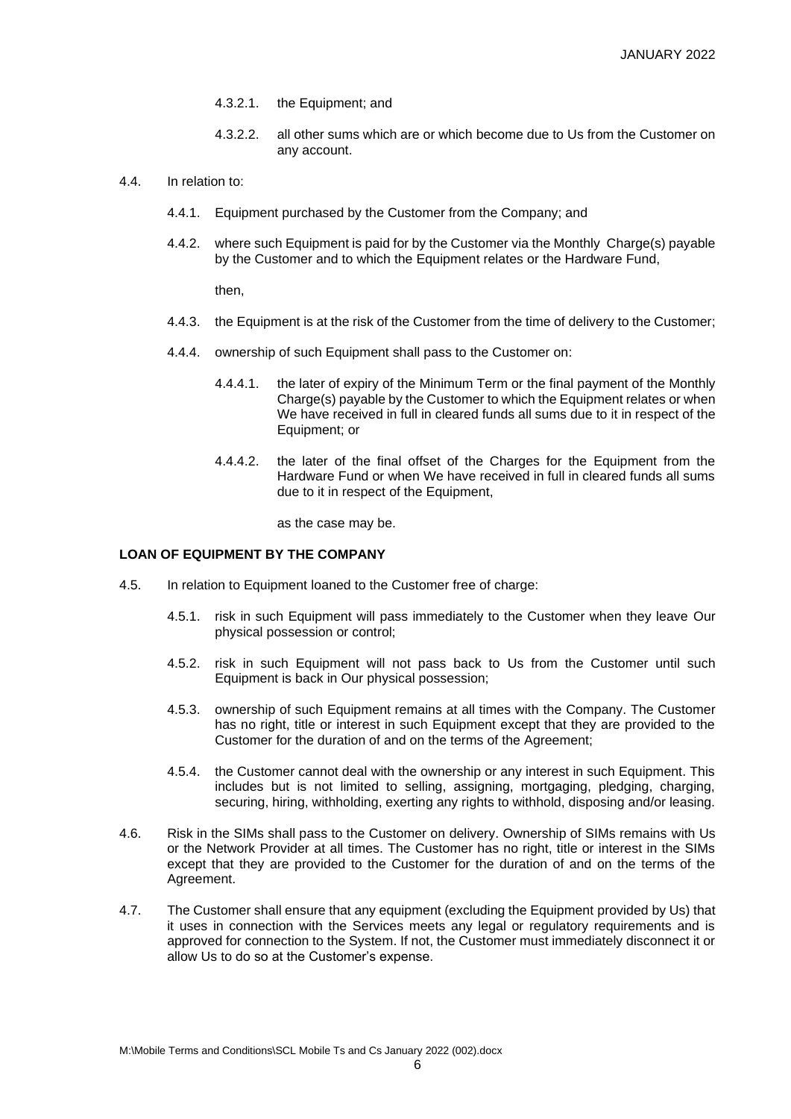- 4.3.2.1. the Equipment; and
- 4.3.2.2. all other sums which are or which become due to Us from the Customer on any account.
- 4.4. In relation to:
	- 4.4.1. Equipment purchased by the Customer from the Company; and
	- 4.4.2. where such Equipment is paid for by the Customer via the Monthly Charge(s) payable by the Customer and to which the Equipment relates or the Hardware Fund,

then,

- 4.4.3. the Equipment is at the risk of the Customer from the time of delivery to the Customer;
- 4.4.4. ownership of such Equipment shall pass to the Customer on:
	- 4.4.4.1. the later of expiry of the Minimum Term or the final payment of the Monthly Charge(s) payable by the Customer to which the Equipment relates or when We have received in full in cleared funds all sums due to it in respect of the Equipment; or
	- 4.4.4.2. the later of the final offset of the Charges for the Equipment from the Hardware Fund or when We have received in full in cleared funds all sums due to it in respect of the Equipment,

as the case may be.

# **LOAN OF EQUIPMENT BY THE COMPANY**

- 4.5. In relation to Equipment loaned to the Customer free of charge:
	- 4.5.1. risk in such Equipment will pass immediately to the Customer when they leave Our physical possession or control;
	- 4.5.2. risk in such Equipment will not pass back to Us from the Customer until such Equipment is back in Our physical possession;
	- 4.5.3. ownership of such Equipment remains at all times with the Company. The Customer has no right, title or interest in such Equipment except that they are provided to the Customer for the duration of and on the terms of the Agreement;
	- 4.5.4. the Customer cannot deal with the ownership or any interest in such Equipment. This includes but is not limited to selling, assigning, mortgaging, pledging, charging, securing, hiring, withholding, exerting any rights to withhold, disposing and/or leasing.
- 4.6. Risk in the SIMs shall pass to the Customer on delivery. Ownership of SIMs remains with Us or the Network Provider at all times. The Customer has no right, title or interest in the SIMs except that they are provided to the Customer for the duration of and on the terms of the Agreement.
- 4.7. The Customer shall ensure that any equipment (excluding the Equipment provided by Us) that it uses in connection with the Services meets any legal or regulatory requirements and is approved for connection to the System. If not, the Customer must immediately disconnect it or allow Us to do so at the Customer's expense.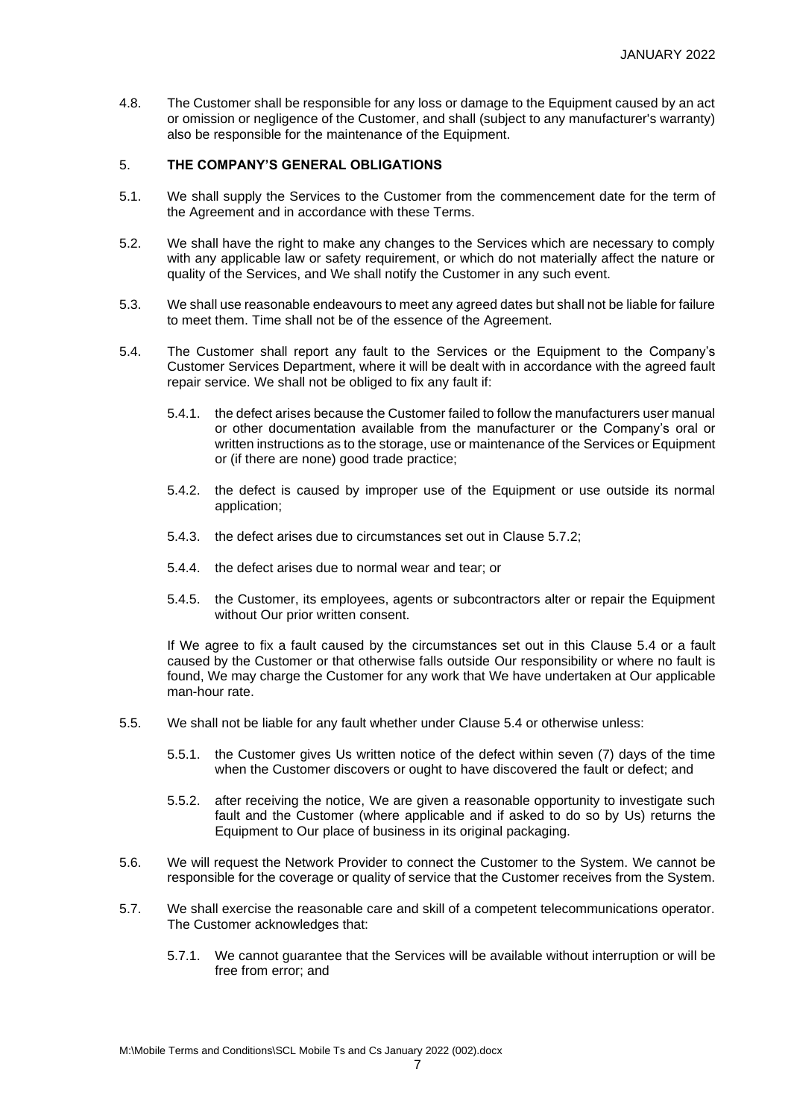4.8. The Customer shall be responsible for any loss or damage to the Equipment caused by an act or omission or negligence of the Customer, and shall (subject to any manufacturer's warranty) also be responsible for the maintenance of the Equipment.

# 5. **THE COMPANY'S GENERAL OBLIGATIONS**

- 5.1. We shall supply the Services to the Customer from the commencement date for the term of the Agreement and in accordance with these Terms.
- 5.2. We shall have the right to make any changes to the Services which are necessary to comply with any applicable law or safety requirement, or which do not materially affect the nature or quality of the Services, and We shall notify the Customer in any such event.
- 5.3. We shall use reasonable endeavours to meet any agreed dates but shall not be liable for failure to meet them. Time shall not be of the essence of the Agreement.
- 5.4. The Customer shall report any fault to the Services or the Equipment to the Company's Customer Services Department, where it will be dealt with in accordance with the agreed fault repair service. We shall not be obliged to fix any fault if:
	- 5.4.1. the defect arises because the Customer failed to follow the manufacturers user manual or other documentation available from the manufacturer or the Company's oral or written instructions as to the storage, use or maintenance of the Services or Equipment or (if there are none) good trade practice;
	- 5.4.2. the defect is caused by improper use of the Equipment or use outside its normal application;
	- 5.4.3. the defect arises due to circumstances set out in Clause 5.7.2;
	- 5.4.4. the defect arises due to normal wear and tear; or
	- 5.4.5. the Customer, its employees, agents or subcontractors alter or repair the Equipment without Our prior written consent.

If We agree to fix a fault caused by the circumstances set out in this Clause 5.4 or a fault caused by the Customer or that otherwise falls outside Our responsibility or where no fault is found, We may charge the Customer for any work that We have undertaken at Our applicable man-hour rate.

- 5.5. We shall not be liable for any fault whether under Clause 5.4 or otherwise unless:
	- 5.5.1. the Customer gives Us written notice of the defect within seven (7) days of the time when the Customer discovers or ought to have discovered the fault or defect; and
	- 5.5.2. after receiving the notice, We are given a reasonable opportunity to investigate such fault and the Customer (where applicable and if asked to do so by Us) returns the Equipment to Our place of business in its original packaging.
- 5.6. We will request the Network Provider to connect the Customer to the System. We cannot be responsible for the coverage or quality of service that the Customer receives from the System.
- 5.7. We shall exercise the reasonable care and skill of a competent telecommunications operator. The Customer acknowledges that:
	- 5.7.1. We cannot guarantee that the Services will be available without interruption or will be free from error; and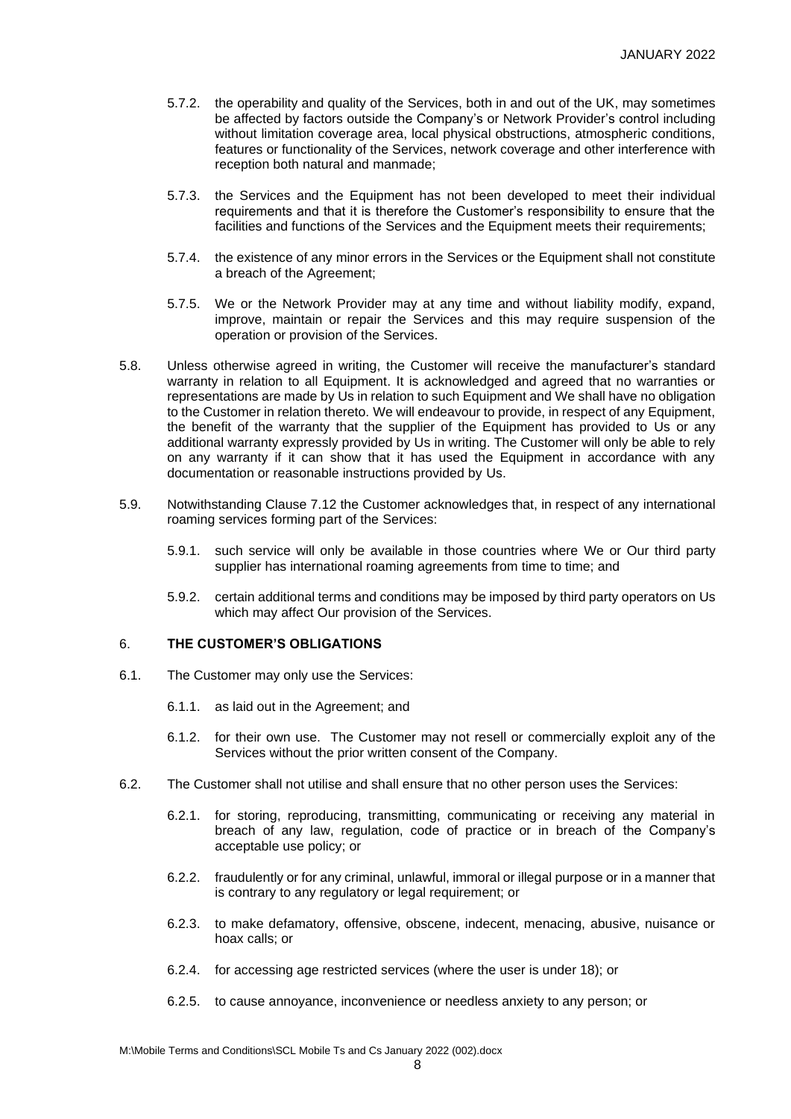- 5.7.2. the operability and quality of the Services, both in and out of the UK, may sometimes be affected by factors outside the Company's or Network Provider's control including without limitation coverage area, local physical obstructions, atmospheric conditions, features or functionality of the Services, network coverage and other interference with reception both natural and manmade;
- 5.7.3. the Services and the Equipment has not been developed to meet their individual requirements and that it is therefore the Customer's responsibility to ensure that the facilities and functions of the Services and the Equipment meets their requirements;
- 5.7.4. the existence of any minor errors in the Services or the Equipment shall not constitute a breach of the Agreement;
- 5.7.5. We or the Network Provider may at any time and without liability modify, expand, improve, maintain or repair the Services and this may require suspension of the operation or provision of the Services.
- 5.8. Unless otherwise agreed in writing, the Customer will receive the manufacturer's standard warranty in relation to all Equipment. It is acknowledged and agreed that no warranties or representations are made by Us in relation to such Equipment and We shall have no obligation to the Customer in relation thereto. We will endeavour to provide, in respect of any Equipment, the benefit of the warranty that the supplier of the Equipment has provided to Us or any additional warranty expressly provided by Us in writing. The Customer will only be able to rely on any warranty if it can show that it has used the Equipment in accordance with any documentation or reasonable instructions provided by Us.
- 5.9. Notwithstanding Clause 7.12 the Customer acknowledges that, in respect of any international roaming services forming part of the Services:
	- 5.9.1. such service will only be available in those countries where We or Our third party supplier has international roaming agreements from time to time; and
	- 5.9.2. certain additional terms and conditions may be imposed by third party operators on Us which may affect Our provision of the Services.

#### 6. **THE CUSTOMER'S OBLIGATIONS**

- 6.1. The Customer may only use the Services:
	- 6.1.1. as laid out in the Agreement; and
	- 6.1.2. for their own use. The Customer may not resell or commercially exploit any of the Services without the prior written consent of the Company.
- 6.2. The Customer shall not utilise and shall ensure that no other person uses the Services:
	- 6.2.1. for storing, reproducing, transmitting, communicating or receiving any material in breach of any law, regulation, code of practice or in breach of the Company's acceptable use policy; or
	- 6.2.2. fraudulently or for any criminal, unlawful, immoral or illegal purpose or in a manner that is contrary to any regulatory or legal requirement; or
	- 6.2.3. to make defamatory, offensive, obscene, indecent, menacing, abusive, nuisance or hoax calls; or
	- 6.2.4. for accessing age restricted services (where the user is under 18); or
	- 6.2.5. to cause annoyance, inconvenience or needless anxiety to any person; or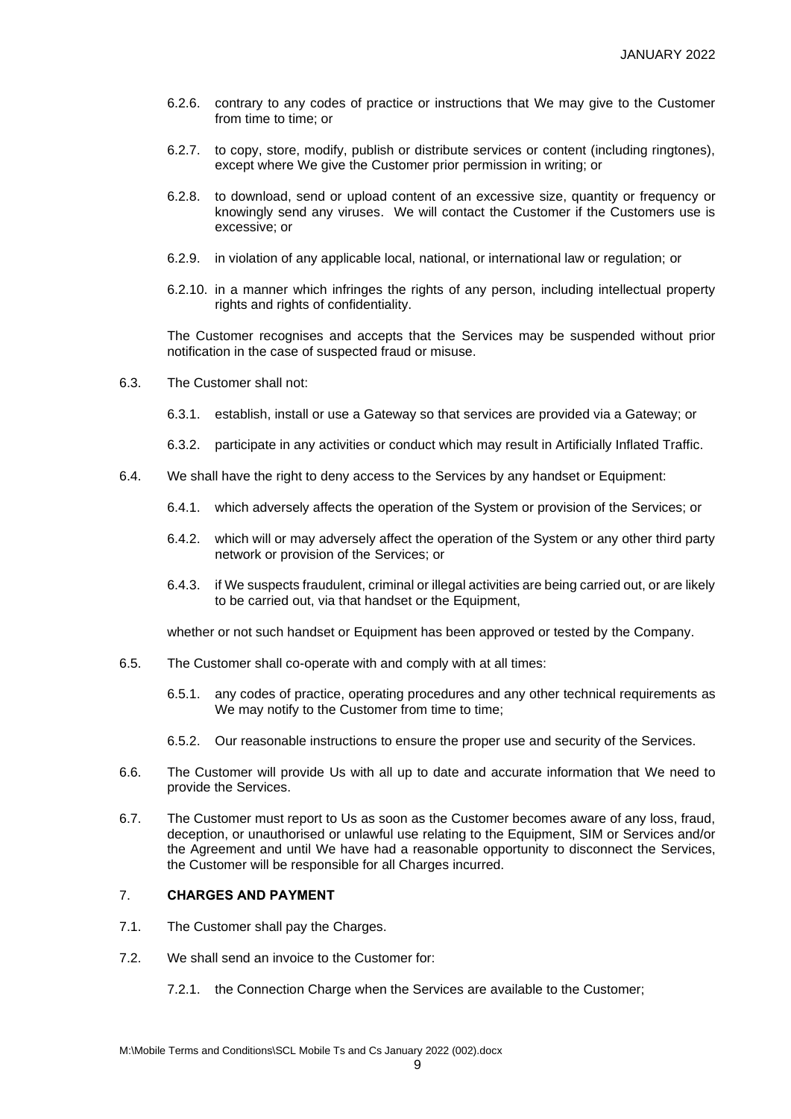- 6.2.6. contrary to any codes of practice or instructions that We may give to the Customer from time to time; or
- 6.2.7. to copy, store, modify, publish or distribute services or content (including ringtones), except where We give the Customer prior permission in writing; or
- 6.2.8. to download, send or upload content of an excessive size, quantity or frequency or knowingly send any viruses. We will contact the Customer if the Customers use is excessive; or
- 6.2.9. in violation of any applicable local, national, or international law or regulation; or
- 6.2.10. in a manner which infringes the rights of any person, including intellectual property rights and rights of confidentiality.

The Customer recognises and accepts that the Services may be suspended without prior notification in the case of suspected fraud or misuse.

- 6.3. The Customer shall not:
	- 6.3.1. establish, install or use a Gateway so that services are provided via a Gateway; or
	- 6.3.2. participate in any activities or conduct which may result in Artificially Inflated Traffic.
- 6.4. We shall have the right to deny access to the Services by any handset or Equipment:
	- 6.4.1. which adversely affects the operation of the System or provision of the Services; or
	- 6.4.2. which will or may adversely affect the operation of the System or any other third party network or provision of the Services; or
	- 6.4.3. if We suspects fraudulent, criminal or illegal activities are being carried out, or are likely to be carried out, via that handset or the Equipment,

whether or not such handset or Equipment has been approved or tested by the Company.

- 6.5. The Customer shall co-operate with and comply with at all times:
	- 6.5.1. any codes of practice, operating procedures and any other technical requirements as We may notify to the Customer from time to time;
	- 6.5.2. Our reasonable instructions to ensure the proper use and security of the Services.
- 6.6. The Customer will provide Us with all up to date and accurate information that We need to provide the Services.
- 6.7. The Customer must report to Us as soon as the Customer becomes aware of any loss, fraud, deception, or unauthorised or unlawful use relating to the Equipment, SIM or Services and/or the Agreement and until We have had a reasonable opportunity to disconnect the Services, the Customer will be responsible for all Charges incurred.

# 7. **CHARGES AND PAYMENT**

- 7.1. The Customer shall pay the Charges.
- 7.2. We shall send an invoice to the Customer for:
	- 7.2.1. the Connection Charge when the Services are available to the Customer;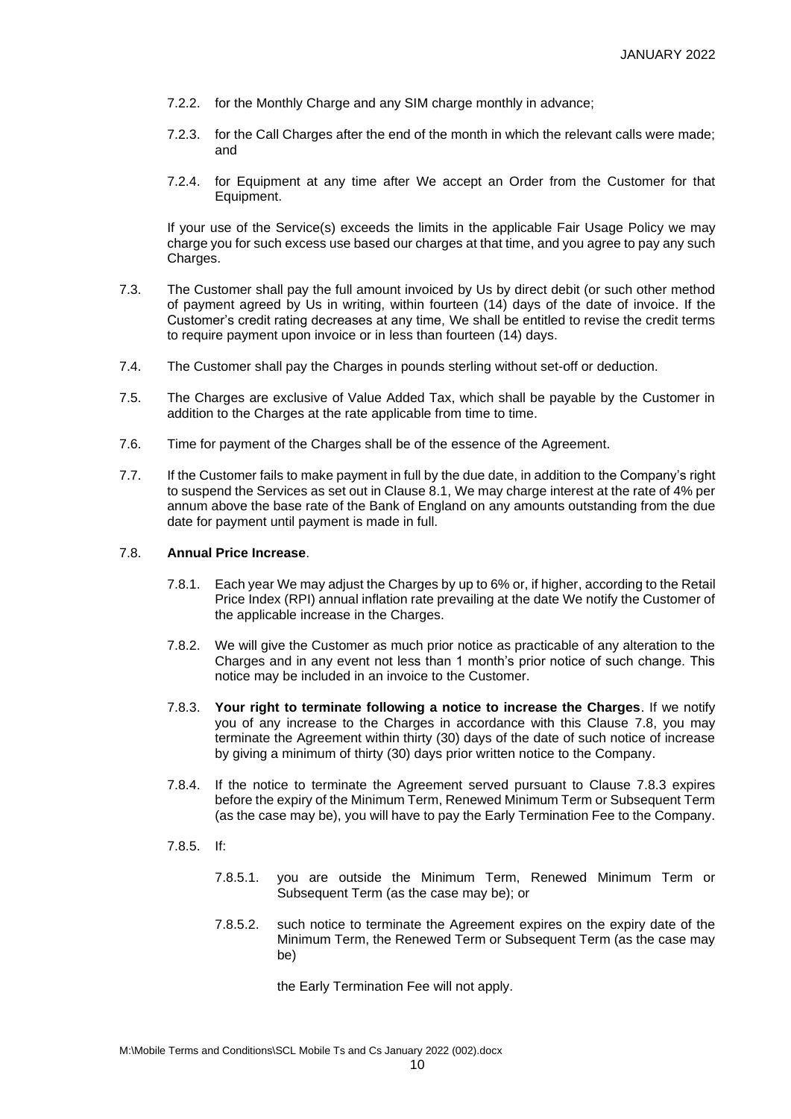- 7.2.2. for the Monthly Charge and any SIM charge monthly in advance;
- 7.2.3. for the Call Charges after the end of the month in which the relevant calls were made; and
- 7.2.4. for Equipment at any time after We accept an Order from the Customer for that Equipment.

If your use of the Service(s) exceeds the limits in the applicable Fair Usage Policy we may charge you for such excess use based our charges at that time, and you agree to pay any such Charges.

- 7.3. The Customer shall pay the full amount invoiced by Us by direct debit (or such other method of payment agreed by Us in writing, within fourteen (14) days of the date of invoice. If the Customer's credit rating decreases at any time, We shall be entitled to revise the credit terms to require payment upon invoice or in less than fourteen (14) days.
- 7.4. The Customer shall pay the Charges in pounds sterling without set-off or deduction.
- 7.5. The Charges are exclusive of Value Added Tax, which shall be payable by the Customer in addition to the Charges at the rate applicable from time to time.
- 7.6. Time for payment of the Charges shall be of the essence of the Agreement.
- 7.7. If the Customer fails to make payment in full by the due date, in addition to the Company's right to suspend the Services as set out in Clause 8.1, We may charge interest at the rate of 4% per annum above the base rate of the Bank of England on any amounts outstanding from the due date for payment until payment is made in full.

#### 7.8. **Annual Price Increase**.

- 7.8.1. Each year We may adjust the Charges by up to 6% or, if higher, according to the Retail Price Index (RPI) annual inflation rate prevailing at the date We notify the Customer of the applicable increase in the Charges.
- 7.8.2. We will give the Customer as much prior notice as practicable of any alteration to the Charges and in any event not less than 1 month's prior notice of such change. This notice may be included in an invoice to the Customer.
- 7.8.3. **Your right to terminate following a notice to increase the Charges**. If we notify you of any increase to the Charges in accordance with this Clause 7.8, you may terminate the Agreement within thirty (30) days of the date of such notice of increase by giving a minimum of thirty (30) days prior written notice to the Company.
- 7.8.4. If the notice to terminate the Agreement served pursuant to Clause 7.8.3 expires before the expiry of the Minimum Term, Renewed Minimum Term or Subsequent Term (as the case may be), you will have to pay the Early Termination Fee to the Company.
- 7.8.5. If:
	- 7.8.5.1. you are outside the Minimum Term, Renewed Minimum Term or Subsequent Term (as the case may be); or
	- 7.8.5.2. such notice to terminate the Agreement expires on the expiry date of the Minimum Term, the Renewed Term or Subsequent Term (as the case may be)

the Early Termination Fee will not apply.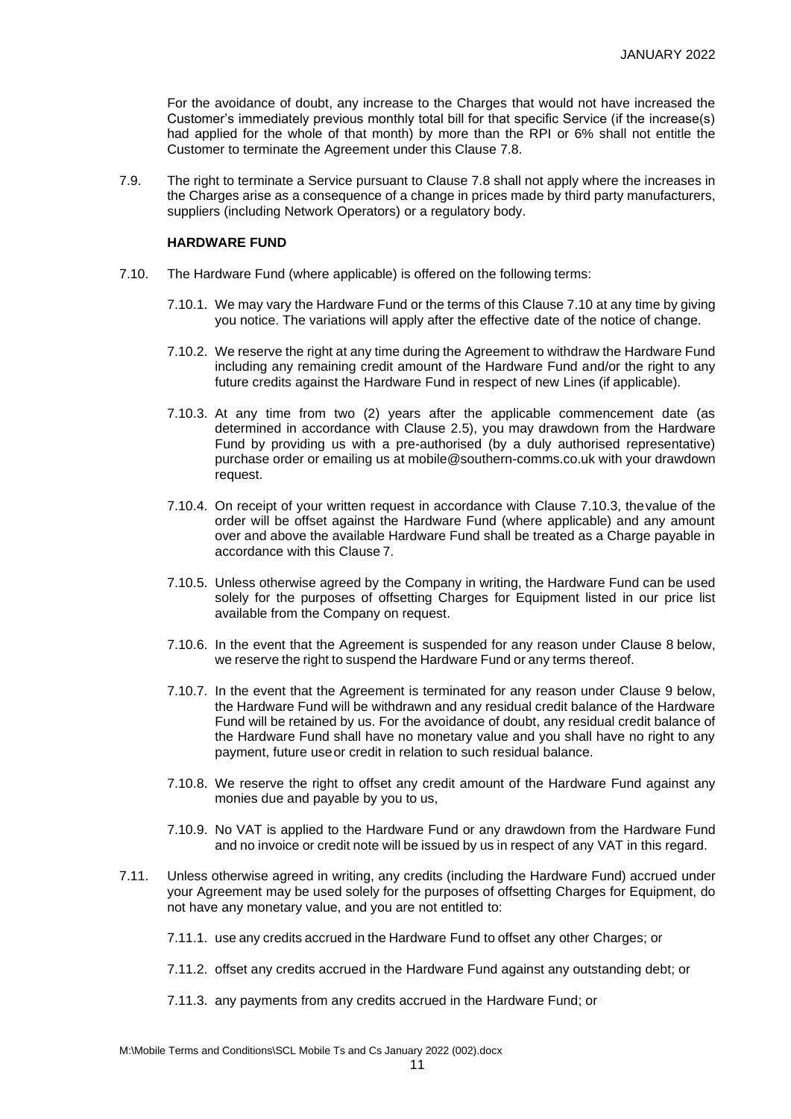For the avoidance of doubt, any increase to the Charges that would not have increased the Customer's immediately previous monthly total bill for that specific Service (if the increase(s) had applied for the whole of that month) by more than the RPI or 6% shall not entitle the Customer to terminate the Agreement under this Clause 7.8.

7.9. The right to terminate a Service pursuant to Clause 7.8 shall not apply where the increases in the Charges arise as a consequence of a change in prices made by third party manufacturers, suppliers (including Network Operators) or a regulatory body.

#### **HARDWARE FUND**

- 7.10. The Hardware Fund (where applicable) is offered on the following terms:
	- 7.10.1. We may vary the Hardware Fund or the terms of this Clause 7.10 at any time by giving you notice. The variations will apply after the effective date of the notice of change.
	- 7.10.2. We reserve the right at any time during the Agreement to withdraw the Hardware Fund including any remaining credit amount of the Hardware Fund and/or the right to any future credits against the Hardware Fund in respect of new Lines (if applicable).
	- 7.10.3. At any time from two (2) years after the applicable commencement date (as determined in accordance with Clause 2.5), you may drawdown from the Hardware Fund by providing us with a pre-authorised (by a duly authorised representative) purchase order or emailing us at mobile@southern-comms.co.uk with your drawdown request.
	- 7.10.4. On receipt of your written request in accordance with Clause 7.10.3, thevalue of the order will be offset against the Hardware Fund (where applicable) and any amount over and above the available Hardware Fund shall be treated as a Charge payable in accordance with this Clause 7.
	- 7.10.5. Unless otherwise agreed by the Company in writing, the Hardware Fund can be used solely for the purposes of offsetting Charges for Equipment listed in our price list available from the Company on request.
	- 7.10.6. In the event that the Agreement is suspended for any reason under Clause 8 below, we reserve the right to suspend the Hardware Fund or any terms thereof.
	- 7.10.7. In the event that the Agreement is terminated for any reason under Clause 9 below, the Hardware Fund will be withdrawn and any residual credit balance of the Hardware Fund will be retained by us. For the avoidance of doubt, any residual credit balance of the Hardware Fund shall have no monetary value and you shall have no right to any payment, future useor credit in relation to such residual balance.
	- 7.10.8. We reserve the right to offset any credit amount of the Hardware Fund against any monies due and payable by you to us,
	- 7.10.9. No VAT is applied to the Hardware Fund or any drawdown from the Hardware Fund and no invoice or credit note will be issued by us in respect of any VAT in this regard.
- 7.11. Unless otherwise agreed in writing, any credits (including the Hardware Fund) accrued under your Agreement may be used solely for the purposes of offsetting Charges for Equipment, do not have any monetary value, and you are not entitled to:
	- 7.11.1. use any credits accrued in the Hardware Fund to offset any other Charges; or
	- 7.11.2. offset any credits accrued in the Hardware Fund against any outstanding debt; or
	- 7.11.3. any payments from any credits accrued in the Hardware Fund; or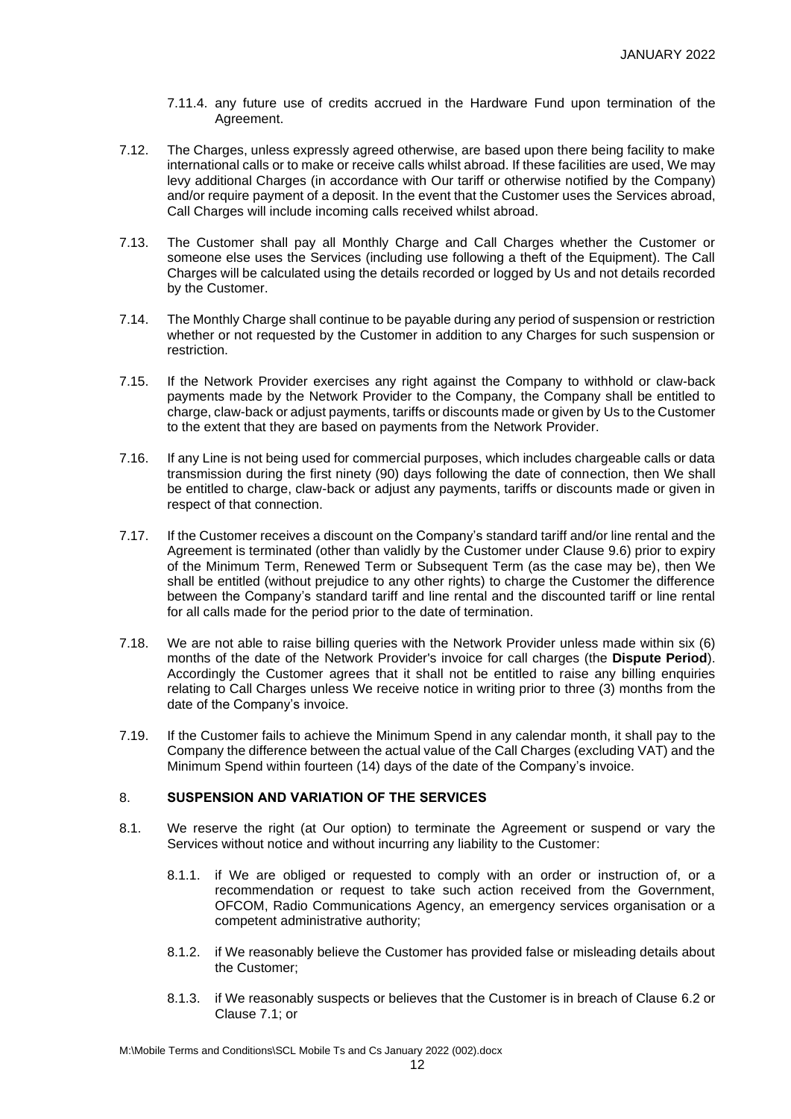- 7.11.4. any future use of credits accrued in the Hardware Fund upon termination of the Agreement.
- 7.12. The Charges, unless expressly agreed otherwise, are based upon there being facility to make international calls or to make or receive calls whilst abroad. If these facilities are used, We may levy additional Charges (in accordance with Our tariff or otherwise notified by the Company) and/or require payment of a deposit. In the event that the Customer uses the Services abroad, Call Charges will include incoming calls received whilst abroad.
- 7.13. The Customer shall pay all Monthly Charge and Call Charges whether the Customer or someone else uses the Services (including use following a theft of the Equipment). The Call Charges will be calculated using the details recorded or logged by Us and not details recorded by the Customer.
- 7.14. The Monthly Charge shall continue to be payable during any period of suspension or restriction whether or not requested by the Customer in addition to any Charges for such suspension or restriction.
- 7.15. If the Network Provider exercises any right against the Company to withhold or claw-back payments made by the Network Provider to the Company, the Company shall be entitled to charge, claw-back or adjust payments, tariffs or discounts made or given by Us to the Customer to the extent that they are based on payments from the Network Provider.
- 7.16. If any Line is not being used for commercial purposes, which includes chargeable calls or data transmission during the first ninety (90) days following the date of connection, then We shall be entitled to charge, claw-back or adjust any payments, tariffs or discounts made or given in respect of that connection.
- 7.17. If the Customer receives a discount on the Company's standard tariff and/or line rental and the Agreement is terminated (other than validly by the Customer under Clause 9.6) prior to expiry of the Minimum Term, Renewed Term or Subsequent Term (as the case may be), then We shall be entitled (without prejudice to any other rights) to charge the Customer the difference between the Company's standard tariff and line rental and the discounted tariff or line rental for all calls made for the period prior to the date of termination.
- 7.18. We are not able to raise billing queries with the Network Provider unless made within six (6) months of the date of the Network Provider's invoice for call charges (the **Dispute Period**). Accordingly the Customer agrees that it shall not be entitled to raise any billing enquiries relating to Call Charges unless We receive notice in writing prior to three (3) months from the date of the Company's invoice.
- 7.19. If the Customer fails to achieve the Minimum Spend in any calendar month, it shall pay to the Company the difference between the actual value of the Call Charges (excluding VAT) and the Minimum Spend within fourteen (14) days of the date of the Company's invoice.

# 8. **SUSPENSION AND VARIATION OF THE SERVICES**

- 8.1. We reserve the right (at Our option) to terminate the Agreement or suspend or vary the Services without notice and without incurring any liability to the Customer:
	- 8.1.1. if We are obliged or requested to comply with an order or instruction of, or a recommendation or request to take such action received from the Government, OFCOM, Radio Communications Agency, an emergency services organisation or a competent administrative authority;
	- 8.1.2. if We reasonably believe the Customer has provided false or misleading details about the Customer;
	- 8.1.3. if We reasonably suspects or believes that the Customer is in breach of Clause 6.2 or Clause 7.1; or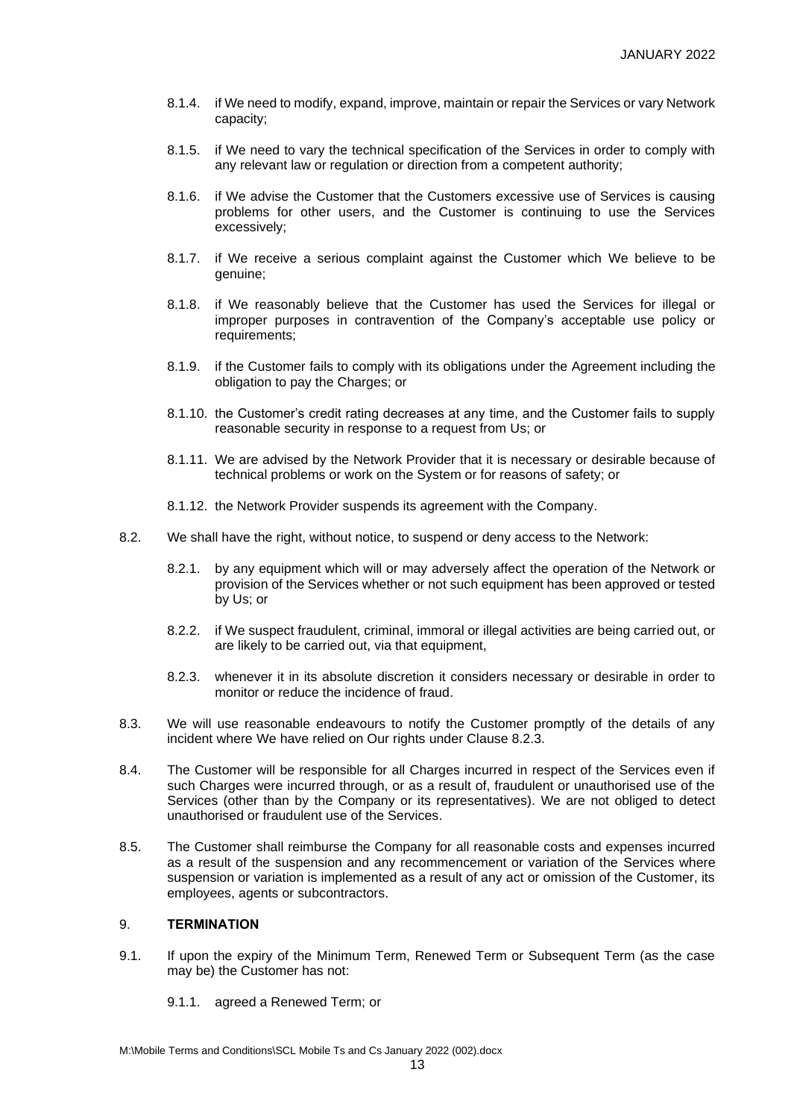- 8.1.4. if We need to modify, expand, improve, maintain or repair the Services or vary Network capacity;
- 8.1.5. if We need to vary the technical specification of the Services in order to comply with any relevant law or regulation or direction from a competent authority;
- 8.1.6. if We advise the Customer that the Customers excessive use of Services is causing problems for other users, and the Customer is continuing to use the Services excessively;
- 8.1.7. if We receive a serious complaint against the Customer which We believe to be genuine;
- 8.1.8. if We reasonably believe that the Customer has used the Services for illegal or improper purposes in contravention of the Company's acceptable use policy or requirements;
- 8.1.9. if the Customer fails to comply with its obligations under the Agreement including the obligation to pay the Charges; or
- 8.1.10. the Customer's credit rating decreases at any time, and the Customer fails to supply reasonable security in response to a request from Us; or
- 8.1.11. We are advised by the Network Provider that it is necessary or desirable because of technical problems or work on the System or for reasons of safety; or
- 8.1.12. the Network Provider suspends its agreement with the Company.
- 8.2. We shall have the right, without notice, to suspend or deny access to the Network:
	- 8.2.1. by any equipment which will or may adversely affect the operation of the Network or provision of the Services whether or not such equipment has been approved or tested by Us; or
	- 8.2.2. if We suspect fraudulent, criminal, immoral or illegal activities are being carried out, or are likely to be carried out, via that equipment,
	- 8.2.3. whenever it in its absolute discretion it considers necessary or desirable in order to monitor or reduce the incidence of fraud.
- 8.3. We will use reasonable endeavours to notify the Customer promptly of the details of any incident where We have relied on Our rights under Clause 8.2.3.
- 8.4. The Customer will be responsible for all Charges incurred in respect of the Services even if such Charges were incurred through, or as a result of, fraudulent or unauthorised use of the Services (other than by the Company or its representatives). We are not obliged to detect unauthorised or fraudulent use of the Services.
- 8.5. The Customer shall reimburse the Company for all reasonable costs and expenses incurred as a result of the suspension and any recommencement or variation of the Services where suspension or variation is implemented as a result of any act or omission of the Customer, its employees, agents or subcontractors.

# 9. **TERMINATION**

- 9.1. If upon the expiry of the Minimum Term, Renewed Term or Subsequent Term (as the case may be) the Customer has not:
	- 9.1.1. agreed a Renewed Term; or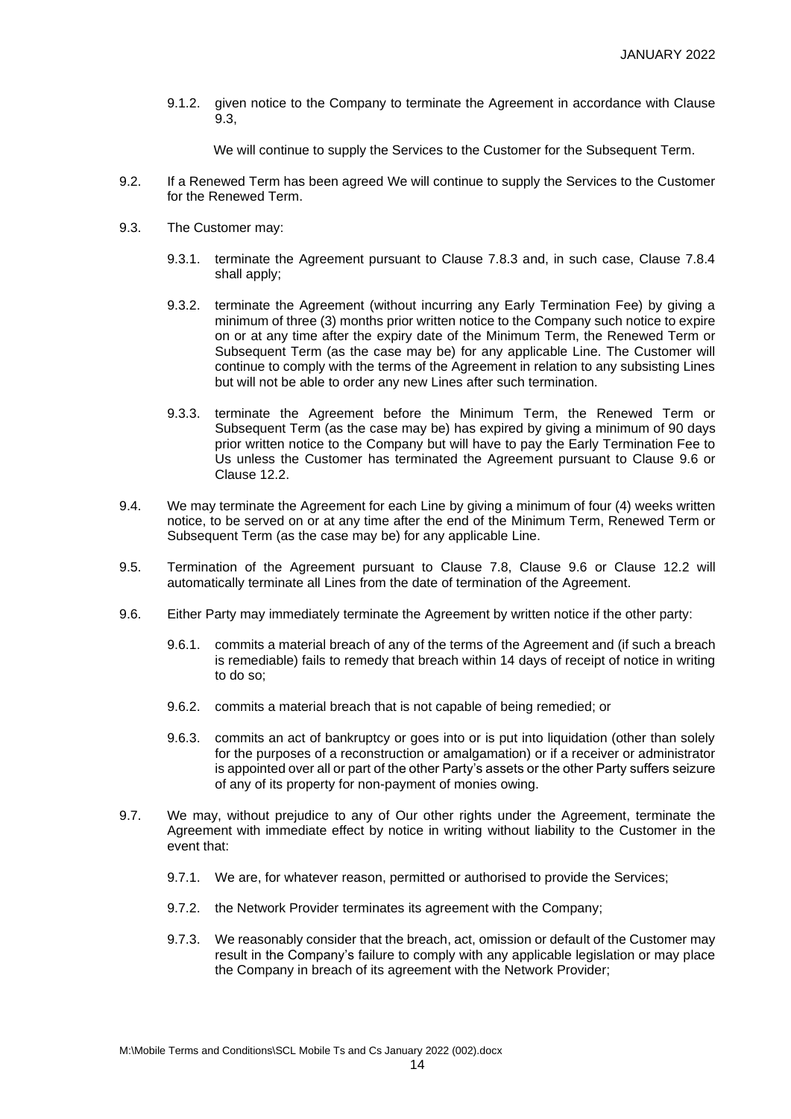9.1.2. given notice to the Company to terminate the Agreement in accordance with Clause 9.3,

We will continue to supply the Services to the Customer for the Subsequent Term.

- 9.2. If a Renewed Term has been agreed We will continue to supply the Services to the Customer for the Renewed Term.
- 9.3. The Customer may:
	- 9.3.1. terminate the Agreement pursuant to Clause 7.8.3 and, in such case, Clause 7.8.4 shall apply;
	- 9.3.2. terminate the Agreement (without incurring any Early Termination Fee) by giving a minimum of three (3) months prior written notice to the Company such notice to expire on or at any time after the expiry date of the Minimum Term, the Renewed Term or Subsequent Term (as the case may be) for any applicable Line. The Customer will continue to comply with the terms of the Agreement in relation to any subsisting Lines but will not be able to order any new Lines after such termination.
	- 9.3.3. terminate the Agreement before the Minimum Term, the Renewed Term or Subsequent Term (as the case may be) has expired by giving a minimum of 90 days prior written notice to the Company but will have to pay the Early Termination Fee to Us unless the Customer has terminated the Agreement pursuant to Clause 9.6 or Clause 12.2.
- 9.4. We may terminate the Agreement for each Line by giving a minimum of four (4) weeks written notice, to be served on or at any time after the end of the Minimum Term, Renewed Term or Subsequent Term (as the case may be) for any applicable Line.
- 9.5. Termination of the Agreement pursuant to Clause 7.8, Clause 9.6 or Clause 12.2 will automatically terminate all Lines from the date of termination of the Agreement.
- 9.6. Either Party may immediately terminate the Agreement by written notice if the other party:
	- 9.6.1. commits a material breach of any of the terms of the Agreement and (if such a breach is remediable) fails to remedy that breach within 14 days of receipt of notice in writing to do so;
	- 9.6.2. commits a material breach that is not capable of being remedied; or
	- 9.6.3. commits an act of bankruptcy or goes into or is put into liquidation (other than solely for the purposes of a reconstruction or amalgamation) or if a receiver or administrator is appointed over all or part of the other Party's assets or the other Party suffers seizure of any of its property for non-payment of monies owing.
- 9.7. We may, without prejudice to any of Our other rights under the Agreement, terminate the Agreement with immediate effect by notice in writing without liability to the Customer in the event that:
	- 9.7.1. We are, for whatever reason, permitted or authorised to provide the Services;
	- 9.7.2. the Network Provider terminates its agreement with the Company;
	- 9.7.3. We reasonably consider that the breach, act, omission or default of the Customer may result in the Company's failure to comply with any applicable legislation or may place the Company in breach of its agreement with the Network Provider;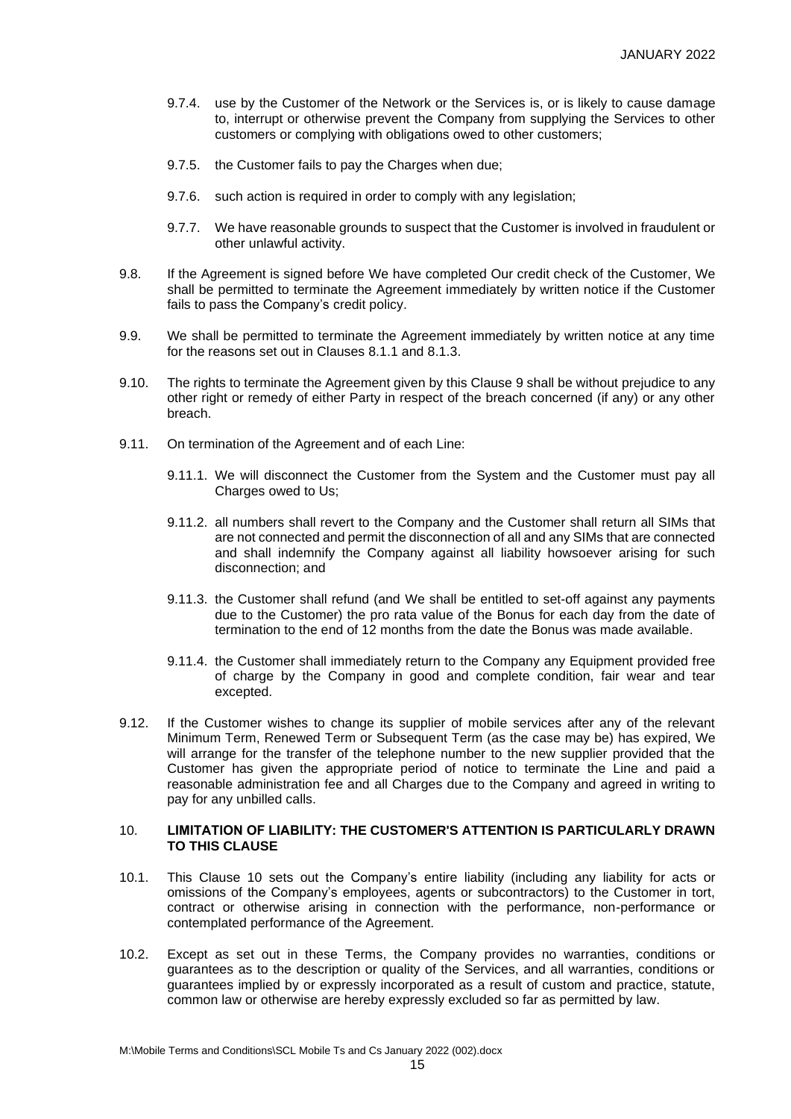- 9.7.4. use by the Customer of the Network or the Services is, or is likely to cause damage to, interrupt or otherwise prevent the Company from supplying the Services to other customers or complying with obligations owed to other customers;
- 9.7.5. the Customer fails to pay the Charges when due;
- 9.7.6. such action is required in order to comply with any legislation;
- 9.7.7. We have reasonable grounds to suspect that the Customer is involved in fraudulent or other unlawful activity.
- 9.8. If the Agreement is signed before We have completed Our credit check of the Customer, We shall be permitted to terminate the Agreement immediately by written notice if the Customer fails to pass the Company's credit policy.
- 9.9. We shall be permitted to terminate the Agreement immediately by written notice at any time for the reasons set out in Clauses 8.1.1 and 8.1.3.
- 9.10. The rights to terminate the Agreement given by this Clause 9 shall be without prejudice to any other right or remedy of either Party in respect of the breach concerned (if any) or any other breach.
- 9.11. On termination of the Agreement and of each Line:
	- 9.11.1. We will disconnect the Customer from the System and the Customer must pay all Charges owed to Us;
	- 9.11.2. all numbers shall revert to the Company and the Customer shall return all SIMs that are not connected and permit the disconnection of all and any SIMs that are connected and shall indemnify the Company against all liability howsoever arising for such disconnection; and
	- 9.11.3. the Customer shall refund (and We shall be entitled to set-off against any payments due to the Customer) the pro rata value of the Bonus for each day from the date of termination to the end of 12 months from the date the Bonus was made available.
	- 9.11.4. the Customer shall immediately return to the Company any Equipment provided free of charge by the Company in good and complete condition, fair wear and tear excepted.
- 9.12. If the Customer wishes to change its supplier of mobile services after any of the relevant Minimum Term, Renewed Term or Subsequent Term (as the case may be) has expired, We will arrange for the transfer of the telephone number to the new supplier provided that the Customer has given the appropriate period of notice to terminate the Line and paid a reasonable administration fee and all Charges due to the Company and agreed in writing to pay for any unbilled calls.

## 10. **LIMITATION OF LIABILITY: THE CUSTOMER'S ATTENTION IS PARTICULARLY DRAWN TO THIS CLAUSE**

- 10.1. This Clause 10 sets out the Company's entire liability (including any liability for acts or omissions of the Company's employees, agents or subcontractors) to the Customer in tort, contract or otherwise arising in connection with the performance, non-performance or contemplated performance of the Agreement.
- 10.2. Except as set out in these Terms, the Company provides no warranties, conditions or guarantees as to the description or quality of the Services, and all warranties, conditions or guarantees implied by or expressly incorporated as a result of custom and practice, statute, common law or otherwise are hereby expressly excluded so far as permitted by law.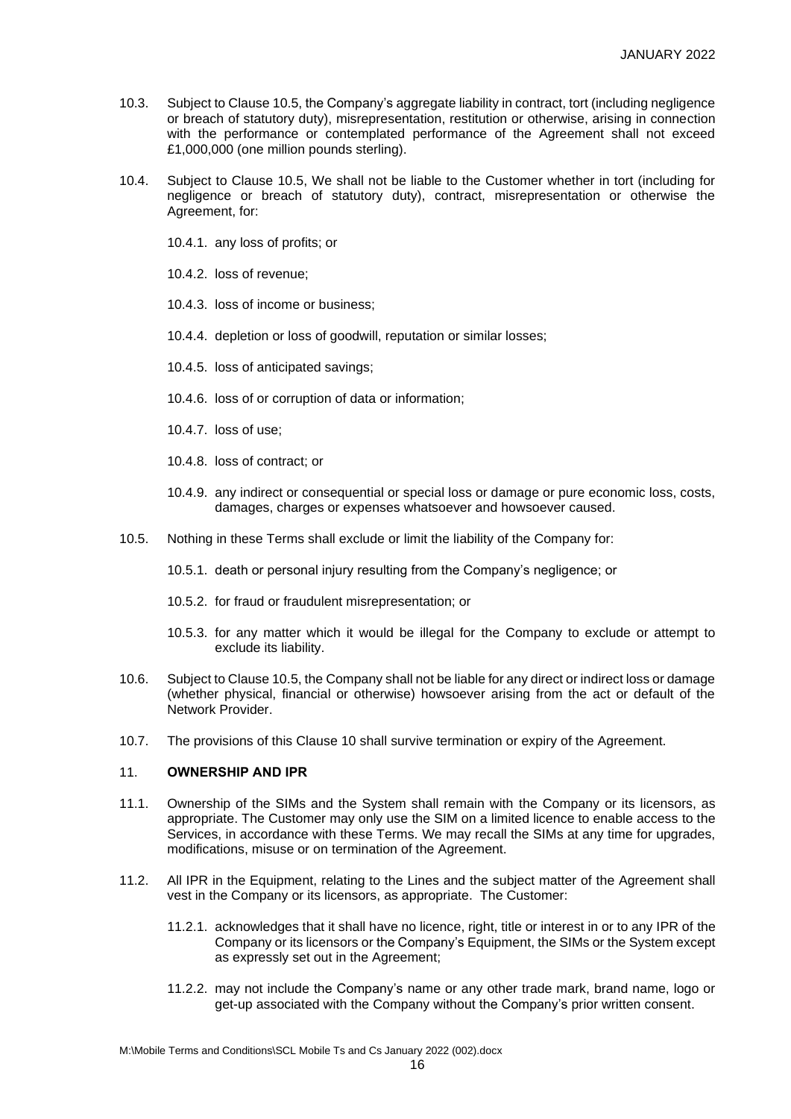- 10.3. Subject to Clause 10.5, the Company's aggregate liability in contract, tort (including negligence or breach of statutory duty), misrepresentation, restitution or otherwise, arising in connection with the performance or contemplated performance of the Agreement shall not exceed £1,000,000 (one million pounds sterling).
- 10.4. Subject to Clause 10.5, We shall not be liable to the Customer whether in tort (including for negligence or breach of statutory duty), contract, misrepresentation or otherwise the Agreement, for:
	- 10.4.1. any loss of profits; or
	- 10.4.2. loss of revenue;
	- 10.4.3. loss of income or business;
	- 10.4.4. depletion or loss of goodwill, reputation or similar losses;
	- 10.4.5. loss of anticipated savings;
	- 10.4.6. loss of or corruption of data or information;
	- 10.4.7. loss of use;
	- 10.4.8. loss of contract; or
	- 10.4.9. any indirect or consequential or special loss or damage or pure economic loss, costs, damages, charges or expenses whatsoever and howsoever caused.
- 10.5. Nothing in these Terms shall exclude or limit the liability of the Company for:
	- 10.5.1. death or personal injury resulting from the Company's negligence; or
	- 10.5.2. for fraud or fraudulent misrepresentation; or
	- 10.5.3. for any matter which it would be illegal for the Company to exclude or attempt to exclude its liability.
- 10.6. Subject to Clause 10.5, the Company shall not be liable for any direct or indirect loss or damage (whether physical, financial or otherwise) howsoever arising from the act or default of the Network Provider.
- 10.7. The provisions of this Clause 10 shall survive termination or expiry of the Agreement.

# 11. **OWNERSHIP AND IPR**

- 11.1. Ownership of the SIMs and the System shall remain with the Company or its licensors, as appropriate. The Customer may only use the SIM on a limited licence to enable access to the Services, in accordance with these Terms. We may recall the SIMs at any time for upgrades, modifications, misuse or on termination of the Agreement.
- 11.2. All IPR in the Equipment, relating to the Lines and the subject matter of the Agreement shall vest in the Company or its licensors, as appropriate. The Customer:
	- 11.2.1. acknowledges that it shall have no licence, right, title or interest in or to any IPR of the Company or its licensors or the Company's Equipment, the SIMs or the System except as expressly set out in the Agreement;
	- 11.2.2. may not include the Company's name or any other trade mark, brand name, logo or get-up associated with the Company without the Company's prior written consent.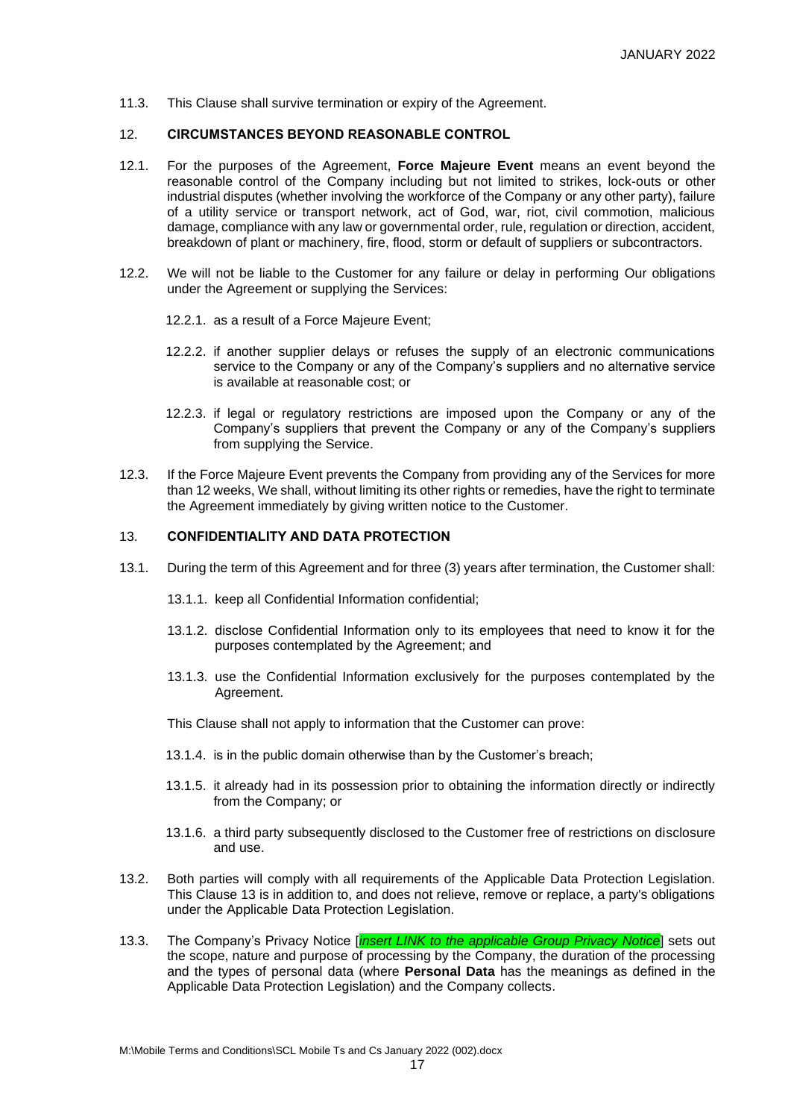11.3. This Clause shall survive termination or expiry of the Agreement.

#### 12. **CIRCUMSTANCES BEYOND REASONABLE CONTROL**

- 12.1. For the purposes of the Agreement, **Force Majeure Event** means an event beyond the reasonable control of the Company including but not limited to strikes, lock-outs or other industrial disputes (whether involving the workforce of the Company or any other party), failure of a utility service or transport network, act of God, war, riot, civil commotion, malicious damage, compliance with any law or governmental order, rule, regulation or direction, accident, breakdown of plant or machinery, fire, flood, storm or default of suppliers or subcontractors.
- 12.2. We will not be liable to the Customer for any failure or delay in performing Our obligations under the Agreement or supplying the Services:
	- 12.2.1. as a result of a Force Majeure Event;
	- 12.2.2. if another supplier delays or refuses the supply of an electronic communications service to the Company or any of the Company's suppliers and no alternative service is available at reasonable cost; or
	- 12.2.3. if legal or regulatory restrictions are imposed upon the Company or any of the Company's suppliers that prevent the Company or any of the Company's suppliers from supplying the Service.
- 12.3. If the Force Majeure Event prevents the Company from providing any of the Services for more than 12 weeks, We shall, without limiting its other rights or remedies, have the right to terminate the Agreement immediately by giving written notice to the Customer.

#### 13. **CONFIDENTIALITY AND DATA PROTECTION**

- <span id="page-16-0"></span>13.1. During the term of this Agreement and for three (3) years after termination, the Customer shall:
	- 13.1.1. keep all Confidential Information confidential;
	- 13.1.2. disclose Confidential Information only to its employees that need to know it for the purposes contemplated by the Agreement; and
	- 13.1.3. use the Confidential Information exclusively for the purposes contemplated by the Agreement.
	- This Clause shall not apply to information that the Customer can prove:
	- 13.1.4. is in the public domain otherwise than by the Customer's breach;
	- 13.1.5. it already had in its possession prior to obtaining the information directly or indirectly from the Company; or
	- 13.1.6. a third party subsequently disclosed to the Customer free of restrictions on disclosure and use.
- 13.2. Both parties will comply with all requirements of the Applicable Data Protection Legislation. This Clause 13 is in addition to, and does not relieve, remove or replace, a party's obligations under the Applicable Data Protection Legislation.
- 13.3. The Company's Privacy Notice [*insert LINK to the applicable Group Privacy Notice*] sets out the scope, nature and purpose of processing by the Company, the duration of the processing and the types of personal data (where **Personal Data** has the meanings as defined in the Applicable Data Protection Legislation) and the Company collects.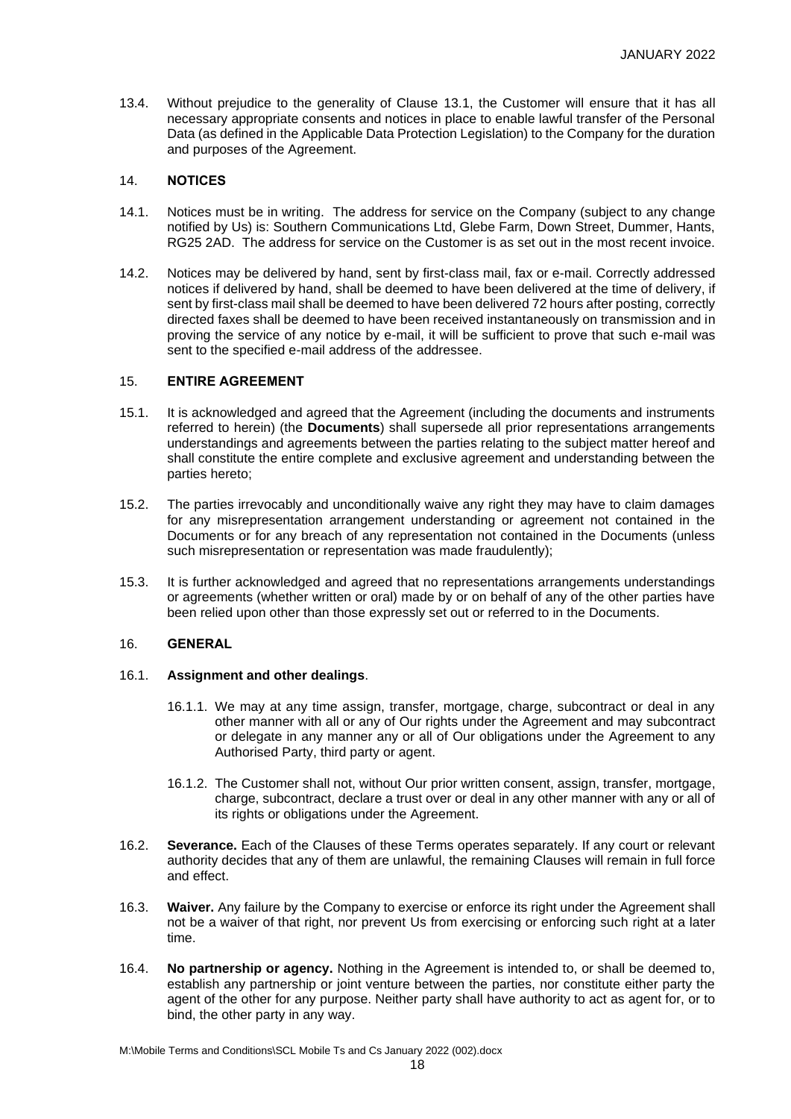13.4. Without prejudice to the generality of Clause [13.1,](#page-16-0) the Customer will ensure that it has all necessary appropriate consents and notices in place to enable lawful transfer of the Personal Data (as defined in the Applicable Data Protection Legislation) to the Company for the duration and purposes of the Agreement.

# 14. **NOTICES**

- 14.1. Notices must be in writing. The address for service on the Company (subject to any change notified by Us) is: Southern Communications Ltd, Glebe Farm, Down Street, Dummer, Hants, RG25 2AD. The address for service on the Customer is as set out in the most recent invoice.
- 14.2. Notices may be delivered by hand, sent by first-class mail, fax or e-mail. Correctly addressed notices if delivered by hand, shall be deemed to have been delivered at the time of delivery, if sent by first-class mail shall be deemed to have been delivered 72 hours after posting, correctly directed faxes shall be deemed to have been received instantaneously on transmission and in proving the service of any notice by e-mail, it will be sufficient to prove that such e-mail was sent to the specified e-mail address of the addressee.

# 15. **ENTIRE AGREEMENT**

- 15.1. It is acknowledged and agreed that the Agreement (including the documents and instruments referred to herein) (the **Documents**) shall supersede all prior representations arrangements understandings and agreements between the parties relating to the subject matter hereof and shall constitute the entire complete and exclusive agreement and understanding between the parties hereto;
- 15.2. The parties irrevocably and unconditionally waive any right they may have to claim damages for any misrepresentation arrangement understanding or agreement not contained in the Documents or for any breach of any representation not contained in the Documents (unless such misrepresentation or representation was made fraudulently);
- 15.3. It is further acknowledged and agreed that no representations arrangements understandings or agreements (whether written or oral) made by or on behalf of any of the other parties have been relied upon other than those expressly set out or referred to in the Documents.

#### 16. **GENERAL**

#### 16.1. **Assignment and other dealings**.

- 16.1.1. We may at any time assign, transfer, mortgage, charge, subcontract or deal in any other manner with all or any of Our rights under the Agreement and may subcontract or delegate in any manner any or all of Our obligations under the Agreement to any Authorised Party, third party or agent.
- 16.1.2. The Customer shall not, without Our prior written consent, assign, transfer, mortgage, charge, subcontract, declare a trust over or deal in any other manner with any or all of its rights or obligations under the Agreement.
- 16.2. **Severance.** Each of the Clauses of these Terms operates separately. If any court or relevant authority decides that any of them are unlawful, the remaining Clauses will remain in full force and effect.
- 16.3. **Waiver.** Any failure by the Company to exercise or enforce its right under the Agreement shall not be a waiver of that right, nor prevent Us from exercising or enforcing such right at a later time.
- 16.4. **No partnership or agency.** Nothing in the Agreement is intended to, or shall be deemed to, establish any partnership or joint venture between the parties, nor constitute either party the agent of the other for any purpose. Neither party shall have authority to act as agent for, or to bind, the other party in any way.